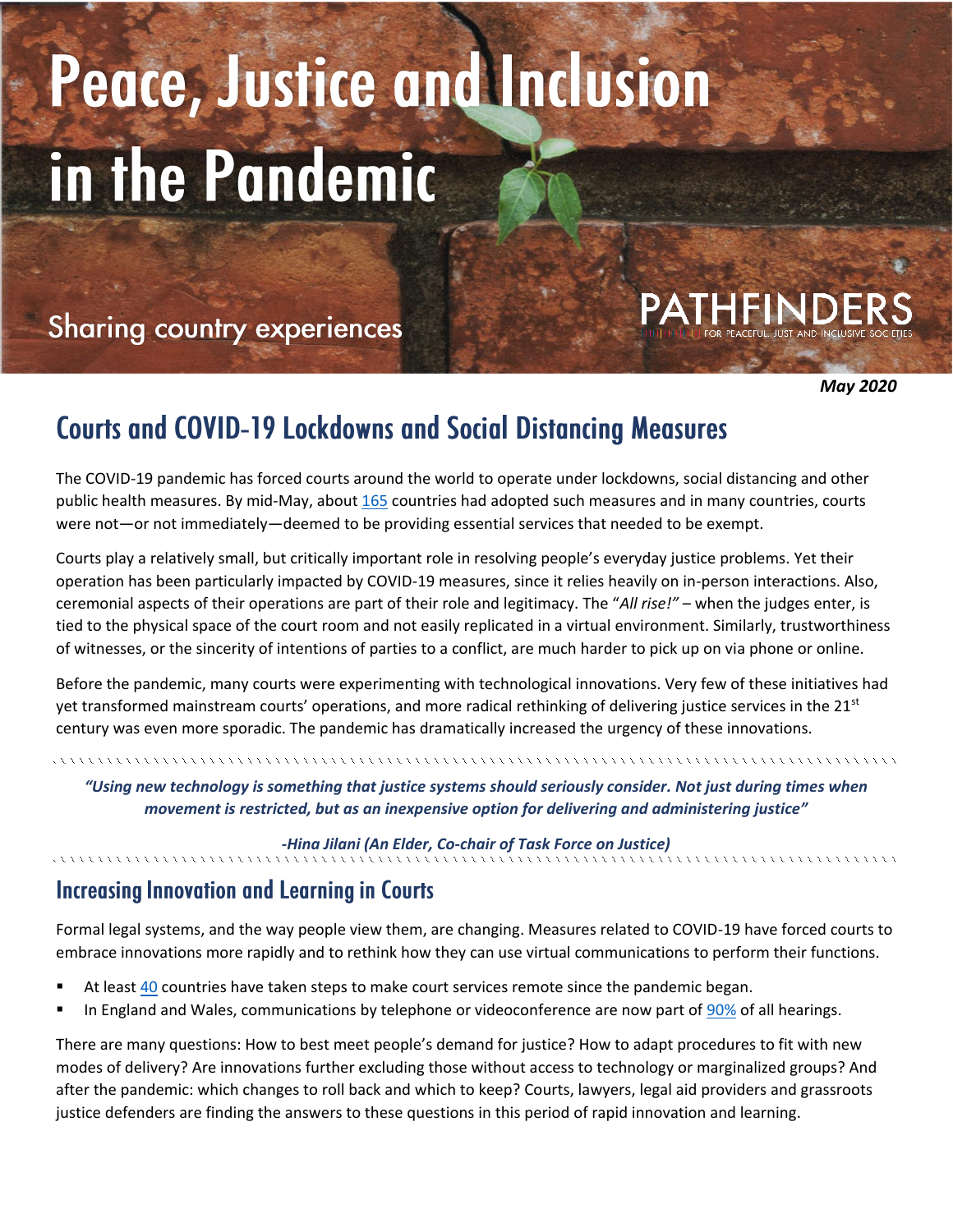# Peace, Justice and Inclusion in the Pandemic

# **Sharing country experiences**

*May 2020*

# **Courts and COVID-19 Lockdowns and Social Distancing Measures**

The COVID-19 pandemic has forced courts around the world to operate under lockdowns, social distancing and other public health measures. By mid-May, abou[t 165](https://www.bsg.ox.ac.uk/research/research-projects/coronavirus-government-response-tracker) countries had adopted such measures and in many countries, courts were not—or not immediately—deemed to be providing essential services that needed to be exempt.

Courts play a relatively small, but critically important role in resolving people's everyday justice problems. Yet their operation has been particularly impacted by COVID-19 measures, since it relies heavily on in-person interactions. Also, ceremonial aspects of their operations are part of their role and legitimacy. The "*All rise!"* – when the judges enter, is tied to the physical space of the court room and not easily replicated in a virtual environment. Similarly, trustworthiness of witnesses, or the sincerity of intentions of parties to a conflict, are much harder to pick up on via phone or online.

Before the pandemic, many courts were experimenting with technological innovations. Very few of these initiatives had yet transformed mainstream courts' operations, and more radical rethinking of delivering justice services in the  $21<sup>st</sup>$ century was even more sporadic. The pandemic has dramatically increased the urgency of these innovations.

*"Using new technology is something that justice systems should seriously consider. Not just during times when movement is restricted, but as an inexpensive option for delivering and administering justice"*

*-Hina Jilani (An Elder, Co-chair of Task Force on Justice)*

### **Increasing Innovation and Learning in Courts**

Formal legal systems, and the way people view them, are changing. Measures related to COVID-19 have forced courts to embrace innovations more rapidly and to rethink how they can use virtual communications to perform their functions.

- At least [40](https://www.lawgazette.co.uk/practice/more-than-40-countries-considering-online-justice/5104167.article) countries have taken steps to make court services remote since the pandemic began.
- In England and Wales, communications by telephone or videoconference are now part of [90%](https://www.gov.uk/guidance/courts-and-tribunals-data-on-audio-and-video-technology-use-during-coronavirus-outbreak) of all hearings.

There are many questions: How to best meet people's demand for justice? How to adapt procedures to fit with new modes of delivery? Are innovations further excluding those without access to technology or marginalized groups? And after the pandemic: which changes to roll back and which to keep? Courts, lawyers, legal aid providers and grassroots justice defenders are finding the answers to these questions in this period of rapid innovation and learning.